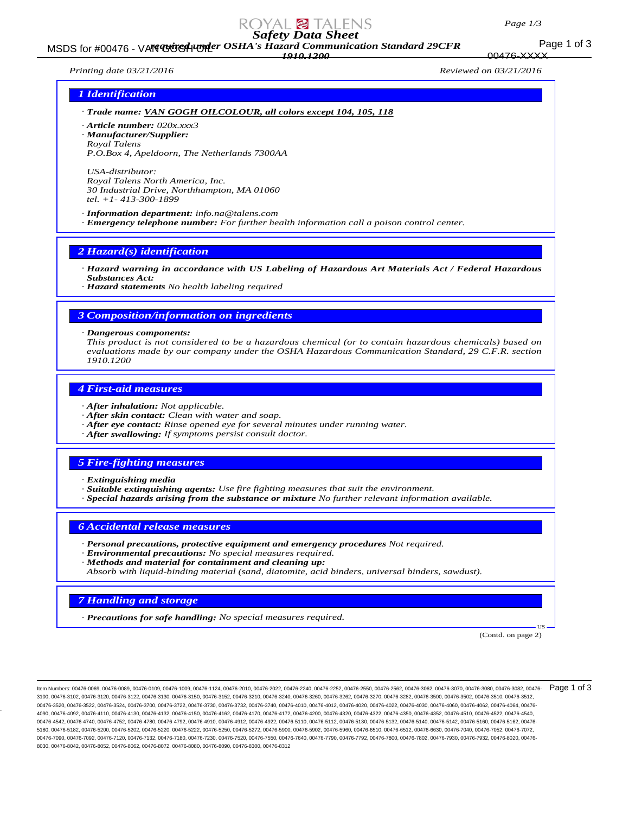### *Page 1/3*

176-XXXX

# *Safety Data Sheet*

Page 1 of 3 MSDS for #00476 - VAN GOGH UPP OSHA's Hazard Communication Standard 29CFR *1910.1200*

*Printing date 03/21/2016 Reviewed on 03/21/2016*

## *1 Identification*

- *· Trade name: VAN GOGH OILCOLOUR, all colors except 104, 105, 118*
- *· Article number: 020x.xxx3*
- *· Manufacturer/Supplier:*
- *Royal Talens P.O.Box 4, Apeldoorn, The Netherlands 7300AA*

*USA-distributor: Royal Talens North America, Inc. 30 Industrial Drive, Northhampton, MA 01060 tel. +1- 413-300-1899*

*· Information department: info.na@talens.com · Emergency telephone number: For further health information call a poison control center.*

## *2 Hazard(s) identification*

*· Hazard warning in accordance with US Labeling of Hazardous Art Materials Act / Federal Hazardous Substances Act:*

*· Hazard statements No health labeling required*

## *3 Composition/information on ingredients*

#### *· Dangerous components:*

*This product is not considered to be a hazardous chemical (or to contain hazardous chemicals) based on evaluations made by our company under the OSHA Hazardous Communication Standard, 29 C.F.R. section 1910.1200*

### *4 First-aid measures*

- *· After inhalation: Not applicable.*
- *· After skin contact: Clean with water and soap.*
- *· After eye contact: Rinse opened eye for several minutes under running water.*
- *· After swallowing: If symptoms persist consult doctor.*

## *5 Fire-fighting measures*

- *· Extinguishing media*
- *· Suitable extinguishing agents: Use fire fighting measures that suit the environment.*
- *· Special hazards arising from the substance or mixture No further relevant information available.*

## *6 Accidental release measures*

- *· Personal precautions, protective equipment and emergency procedures Not required.*
- *· Environmental precautions: No special measures required.*
- *· Methods and material for containment and cleaning up:*
- *Absorb with liquid-binding material (sand, diatomite, acid binders, universal binders, sawdust).*

## *7 Handling and storage*

*· Precautions for safe handling: No special measures required.*

(Contd. on page 2)

US

Item Numbers: 00476-0069, 00476-0089, 00476-0109, 00476-1009, 00476-1124, 00476-2010, 00476-2022, 00476-2240, 00476-2252, 00476-2550, 00476-2562, 00476-3062, 00476-3070, 00476-3080, 00476-3082, 00476- 3100, 00476-3102, 00476-3120, 00476-3122, 00476-3130, 00476-3150, 00476-3152, 00476-3210, 00476-3240, 00476-3260, 00476-3262, 00476-3270, 00476-3282, 00476-3500, 00476-3502, 00476-3510, 00476-3512, 00476-3520, 00476-3522, 00476-3524, 00476-3700, 00476-3722, 00476-3730, 00476-3732, 00476-4010, 00476-4012, 00476-4020, 00476-4022, 00476-4030, 00476-4060, 00476-4060, 00476-4050, 00476-4050, 00476-4062, 00476-4062, 00476-4 4090, 00476-4092, 00476-4110, 00476-4130, 00476-4132, 00476-4150, 00476-4162, 00476-4170, 00476-4172, 00476-4200, 00476-4320, 00476-4322, 00476-4350, 00476-4352, 00476-4510, 00476-4522, 00476-4540, 00476-4542, 00476-4740, 00476-4752, 00476-4780, 00476-4792, 00476-4910, 00476-4912, 00476-4912, 00476-5110, 00476-5112, 00476-5130, 00476-5132, 00476-5140, 00476-5142, 00476-5140, 00476-5160, 00476-5160, 00476-5160, 00476-5 5180, 00476-5182, 00476-5200, 00476-5202, 00476-5220, 00476-5222, 00476-5250, 00476-5272, 00476-5900, 00476-5902, 00476-5960, 00476-6510, 00476-6512, 00476-6630, 00476-7040, 00476-7052, 00476-7072, 00476-7090, 00476-7092, 00476-7120, 00476-7132, 00476-7540, 00476-7520, 00476-7520, 00476-7550, 00476-7640, 00476-7790, 00476-7792, 00476-7800, 00476-7802, 00476-7930, 00476-7932, 00476-802, 00476-7930, 00476-7930, 00476-79 8030, 00476-8042, 00476-8052, 00476-8062, 00476-8072, 00476-8080, 00476-8090, 00476-8300, 00476-8312 Page 1 of 3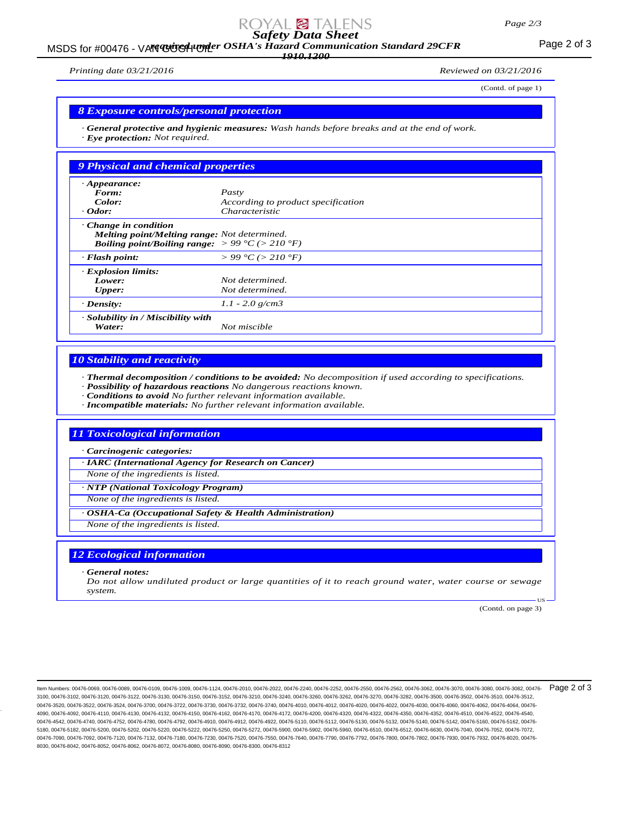#### *Page 2/3*

# *Safety Data Sheet*

MSDS for #00476 - VAN GUGH UNDER OSHA's Hazard Communication Standard 29CFR<br>MSDS for #00476 - VAN GUGH UNDER OSHA's Hazard Communication Standard 29CFR *1910.1200*

*Printing date 03/21/2016 Reviewed on 03/21/2016*

(Contd. of page 1)

## *8 Exposure controls/personal protection*

*· General protective and hygienic measures: Wash hands before breaks and at the end of work. · Eye protection: Not required.*

| 9 Physical and chemical properties                                                                                                                        |                                        |
|-----------------------------------------------------------------------------------------------------------------------------------------------------------|----------------------------------------|
| $\cdot$ Appearance:                                                                                                                                       |                                        |
| Form:                                                                                                                                                     | Pasty                                  |
| Color:                                                                                                                                                    | According to product specification     |
| $\cdot$ Odor:                                                                                                                                             | <i>Characteristic</i>                  |
| $\cdot$ Change in condition<br>Melting point/Melting range: Not determined.<br><b>Boiling point/Boiling range:</b> $> 99 \degree C$ ( $> 210 \degree F$ ) |                                        |
| $\cdot$ Flash point:                                                                                                                                      | $> 99 \degree C$ ( $> 210 \degree F$ ) |
| <b>Explosion limits:</b>                                                                                                                                  |                                        |
| Lower:                                                                                                                                                    | Not determined.                        |
| <b>Upper:</b>                                                                                                                                             | Not determined.                        |
| $\cdot$ Density:                                                                                                                                          | $1.1 - 2.0$ g/cm3                      |
| · Solubility in / Miscibility with<br>Water:                                                                                                              | Not miscible                           |

## *10 Stability and reactivity*

*· Thermal decomposition / conditions to be avoided: No decomposition if used according to specifications.*

- *· Possibility of hazardous reactions No dangerous reactions known.*
- *· Conditions to avoid No further relevant information available.*
- *· Incompatible materials: No further relevant information available.*

## *11 Toxicological information*

*· Carcinogenic categories:*

*· IARC (International Agency for Research on Cancer)*

*None of the ingredients is listed.*

*· NTP (National Toxicology Program)*

*None of the ingredients is listed.*

*· OSHA-Ca (Occupational Safety & Health Administration)*

*None of the ingredients is listed.*

## *12 Ecological information*

*· General notes:*

*Do not allow undiluted product or large quantities of it to reach ground water, water course or sewage system.*

(Contd. on page 3)

US

ltem Numbers: 00476-0069, 00476-0089, 00476-0109, 00476-1009, 00476-1124, 00476-2010, 00476-2022, 00476-2240, 00476-2252, 00476-2550, 00476-2562, 00476-3062, 00476-3070, 00476-3080, 00476-3080, 00476-3082, 00476-3080, 0047 3100, 00476-3102, 00476-3120, 00476-3122, 00476-3130, 00476-3150, 00476-3152, 00476-3210, 00476-3240, 00476-3260, 00476-3262, 00476-3270, 00476-3282, 00476-3500, 00476-3502, 00476-3510, 00476-3512, 00476-3520, 00476-3522, 00476-3524, 00476-3700, 00476-3722, 00476-3730, 00476-3732, 00476-4010, 00476-4012, 00476-4020, 00476-4022, 00476-4030, 00476-4060, 00476-4060, 00476-4050, 00476-4022, 00476-4030, 00476-4060, 00476-4 4090, 00476-4092, 00476-4110, 00476-4130, 00476-4132, 00476-4150, 00476-4162, 00476-4170, 00476-4172, 00476-4200, 00476-4320, 00476-4322, 00476-4350, 00476-4352, 00476-4510, 00476-4522, 00476-4540, 00476-4542, 00476-4740, 00476-4752, 00476-4780, 00476-4792, 00476-4910, 00476-4912, 00476-4912, 00476-5110, 00476-5112, 00476-5130, 00476-5132, 00476-5140, 00476-5142, 00476-5140, 00476-5160, 00476-5160, 00476-5160, 00476-5 5180, 00476-5182, 00476-5200, 00476-5202, 00476-5220, 00476-5222, 00476-5250, 00476-5272, 00476-5900, 00476-5902, 00476-5960, 00476-6510, 00476-6512, 00476-6630, 00476-7040, 00476-7052, 00476-7072, 00476-7090, 00476-7092, 00476-7120, 00476-7132, 00476-75180, 00476-7520, 00476-7520, 00476-7550, 00476-7640, 00476-7790, 00476-7792, 00476-7800, 00476-7802, 00476-7930, 00476-7932, 00476-793, 00476-7802, 00476-7930, 00476-7 8030, 00476-8042, 00476-8052, 00476-8062, 00476-8072, 00476-8080, 00476-8090, 00476-8300, 00476-8312